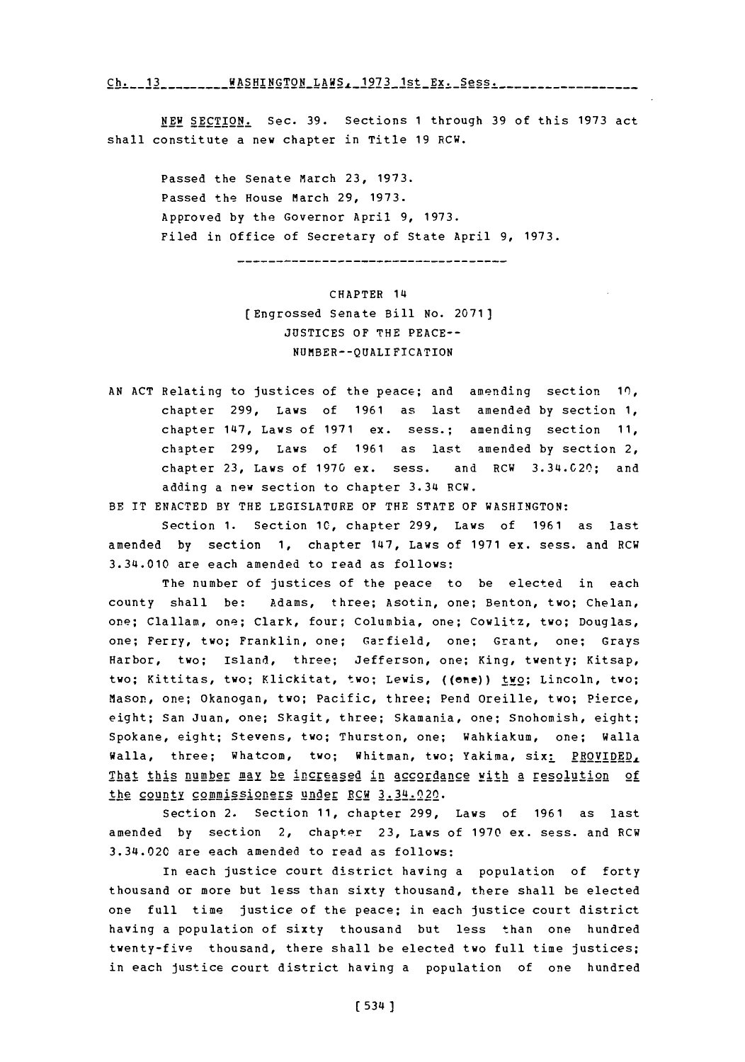**Ch. 13 .... WASHING TONLAWS,\_1973** 1st **Ex.,Sess..........**

**NEW SECTION.** Sec. **39.** Sections **1** through **39** of this **1973** act shall constitute a new chapter in Title **19** RCW.

Passed the Senate March **23, 1973.** Passed the House March **29, 1973.** Approved **by** the Governor April **9, 1973.** Filed in office of Secretary of State April **9, 1973.**

------------------------------------

CHAPTER 14 [Engrossed Senate Bill No. **2071) JUSTICES** OF THE **PEACE--** NUMBER--QUALIFICATION

**AN ACT** Relating to justices of the peace; and amending section **10,** chapter **299,** Laws of **1961** as last amended **by** section **1,** chapter 147, Laws of **1971** ex. sess.; amending section **11,** chapter **299,** Laws of **1961** as last amended **by** section 2, chapter **23,** Laws of **1970** ex. sess. and RCW **3.** 34.C20; and adding a new section to chapter 3.34 RCW.

BE IT **ENACTED** BY THE **LEGISLATURE** OF THE **STATE** OF WASHINGTON:

Section **1.** Section **10,** chapter **299,** Laws of **1961** as last amended by section 1, chapter 147, Laws of 1971 ex. sess. and RCW 3.34.010 are each amended to read as follows:

The number of justices of the peace to be elected in each county shall be: Adams, three; Asotin, one; Benton, two; Chelan, one; Clallam, one; Clark, four; Columbia, one; Cowlitz, two; Douglas, one; Ferry, two; Franklin, one; Garfield, one; Grant, one; Grays Harbor, two; Island, three; Jefferson, one; King, twenty; Kitsap, two; Kittitas, two; Klickitat, two; Lewis, ((ene)) two; Lincoln, two; Mason, one; Okanogan, two; Pacific, three; Pend Oreille, two; Pierce, eight; San Juan, one; Skagit, three; Skamania, one; Snohomish, eight; Spokane, eight; Stevens, two; Thurston, one; Wahkiakum, one; Walla Walla, three; Whatcom, two; Whitman, two; Yakima, six: PROVIDED, That this number may **]2** increased in accordance with a resolution **of** the county commissioners under RCW 3.34.020.

Section 2. Section **11,** chapter **299,** Laws of **1961** as last amended **by** section 2, chapter **23,** Laws of **1970** ex. sess. and RCW 3.34.020 are each amended to read as follows:

in each justice court district having a population of forty thousand or more but less than sixty thousand, there shall be elected one full time justice of the peace; in each justice court district having a population of sixty thousand but less than one hundred twenty-five thousand, there shall be elected two full time justices; in each justice court district having a population of one hundred